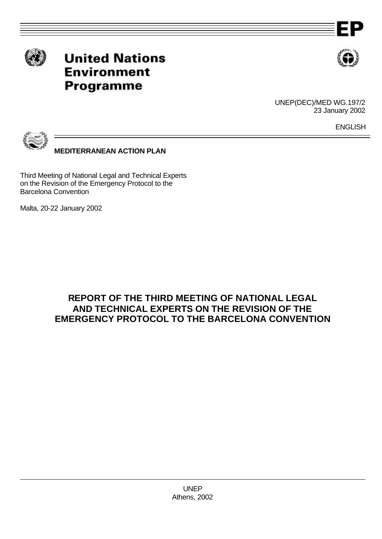



**United Nations Environment Programme** 



UNEP(DEC)/MED WG.197/2 23 January 2002

ENGLISH



**MEDITERRANEAN ACTION PLAN**

Third Meeting of National Legal and Technical Experts on the Revision of the Emergency Protocol to the Barcelona Convention

Malta, 20-22 January 2002

# **REPORT OF THE THIRD MEETING OF NATIONAL LEGAL AND TECHNICAL EXPERTS ON THE REVISION OF THE EMERGENCY PROTOCOL TO THE BARCELONA CONVENTION**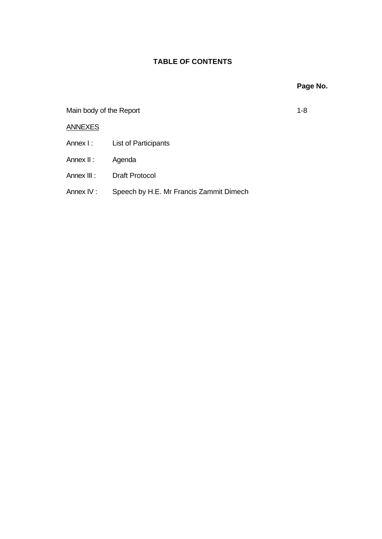## **TABLE OF CONTENTS**

**Page No.** 

## Main body of the Report 1-8

## ANNEXES

- Annex I: List of Participants
- Annex II : Agenda
- Annex III : Draft Protocol
- Annex IV : Speech by H.E. Mr Francis Zammit Dimech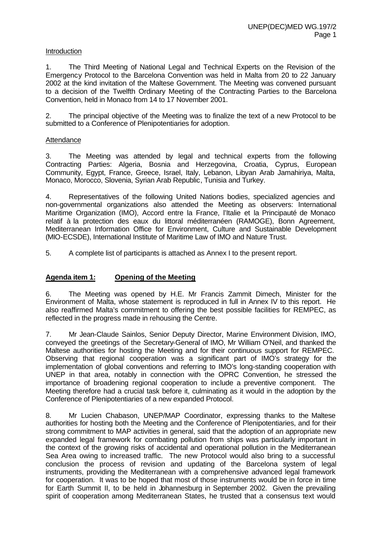#### Introduction

1. The Third Meeting of National Legal and Technical Experts on the Revision of the Emergency Protocol to the Barcelona Convention was held in Malta from 20 to 22 January 2002 at the kind invitation of the Maltese Government. The Meeting was convened pursuant to a decision of the Twelfth Ordinary Meeting of the Contracting Parties to the Barcelona Convention, held in Monaco from 14 to 17 November 2001.

2. The principal objective of the Meeting was to finalize the text of a new Protocol to be submitted to a Conference of Plenipotentiaries for adoption.

#### **Attendance**

3. The Meeting was attended by legal and technical experts from the following Contracting Parties: Algeria, Bosnia and Herzegovina, Croatia, Cyprus, European Community, Egypt, France, Greece, Israel, Italy, Lebanon, Libyan Arab Jamahiriya, Malta, Monaco, Morocco, Slovenia, Syrian Arab Republic, Tunisia and Turkey.

4. Representatives of the following United Nations bodies, specialized agencies and non-governmental organizations also attended the Meeting as observers: International Maritime Organization (IMO), Accord entre la France, l'Italie et la Principauté de Monaco relatif à la protection des eaux du littoral méditerranéen (RAMOGE), Bonn Agreement, Mediterranean Information Office for Environment, Culture and Sustainable Development (MIO-ECSDE), International Institute of Maritime Law of IMO and Nature Trust.

5. A complete list of participants is attached as Annex I to the present report.

### **Agenda item 1: Opening of the Meeting**

6. The Meeting was opened by H.E. Mr Francis Zammit Dimech, Minister for the Environment of Malta, whose statement is reproduced in full in Annex IV to this report. He also reaffirmed Malta's commitment to offering the best possible facilities for REMPEC, as reflected in the progress made in rehousing the Centre.

7. Mr Jean-Claude Sainlos, Senior Deputy Director, Marine Environment Division, IMO, conveyed the greetings of the Secretary-General of IMO, Mr William O'Neil, and thanked the Maltese authorities for hosting the Meeting and for their continuous support for REMPEC. Observing that regional cooperation was a significant part of IMO's strategy for the implementation of global conventions and referring to IMO's long-standing cooperation with UNEP in that area, notably in connection with the OPRC Convention, he stressed the importance of broadening regional cooperation to include a preventive component. The Meeting therefore had a crucial task before it, culminating as it would in the adoption by the Conference of Plenipotentiaries of a new expanded Protocol.

8. Mr Lucien Chabason, UNEP/MAP Coordinator, expressing thanks to the Maltese authorities for hosting both the Meeting and the Conference of Plenipotentiaries, and for their strong commitment to MAP activities in general, said that the adoption of an appropriate new expanded legal framework for combating pollution from ships was particularly important in the context of the growing risks of accidental and operational pollution in the Mediterranean Sea Area owing to increased traffic. The new Protocol would also bring to a successful conclusion the process of revision and updating of the Barcelona system of legal instruments, providing the Mediterranean with a comprehensive advanced legal framework for cooperation. It was to be hoped that most of those instruments would be in force in time for Earth Summit II, to be held in Johannesburg in September 2002. Given the prevailing spirit of cooperation among Mediterranean States, he trusted that a consensus text would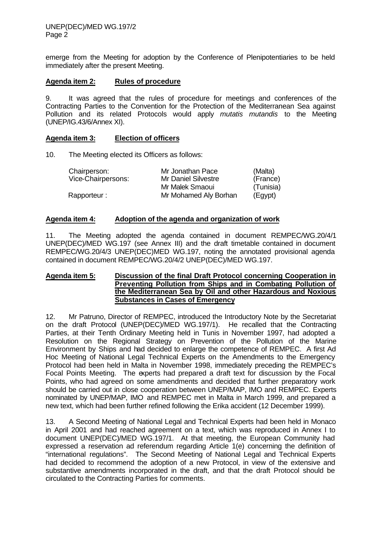emerge from the Meeting for adoption by the Conference of Plenipotentiaries to be held immediately after the present Meeting.

#### **Agenda item 2: Rules of procedure**

9. It was agreed that the rules of procedure for meetings and conferences of the Contracting Parties to the Convention for the Protection of the Mediterranean Sea against Pollution and its related Protocols would apply *mutatis mutandis* to the Meeting (UNEP/IG.43/6/Annex XI).

#### **Agenda item 3: Election of officers**

10. The Meeting elected its Officers as follows:

| Chairperson:       | Mr Jonathan Pace      | (Malta)   |
|--------------------|-----------------------|-----------|
| Vice-Chairpersons: | Mr Daniel Silvestre   | (France)  |
|                    | Mr Malek Smaoui       | (Tunisia) |
| Rapporteur:        | Mr Mohamed Aly Borhan | (Egypt)   |

#### **Agenda item 4: Adoption of the agenda and organization of work**

11. The Meeting adopted the agenda contained in document REMPEC/WG.20/4/1 UNEP(DEC)/MED WG.197 (see Annex III) and the draft timetable contained in document REMPEC/WG.20/4/3 UNEP(DEC)MED WG.197, noting the annotated provisional agenda contained in document REMPEC/WG.20/4/2 UNEP(DEC)/MED WG.197.

#### **Agenda item 5: Discussion of the final Draft Protocol concerning Cooperation in Preventing Pollution from Ships and in Combating Pollution of the Mediterranean Sea by Oil and other Hazardous and Noxious Substances in Cases of Emergency**

12. Mr Patruno, Director of REMPEC, introduced the Introductory Note by the Secretariat on the draft Protocol (UNEP(DEC)/MED WG.197/1). He recalled that the Contracting Parties, at their Tenth Ordinary Meeting held in Tunis in November 1997, had adopted a Resolution on the Regional Strategy on Prevention of the Pollution of the Marine Environment by Ships and had decided to enlarge the competence of REMPEC. A first Ad Hoc Meeting of National Legal Technical Experts on the Amendments to the Emergency Protocol had been held in Malta in November 1998, immediately preceding the REMPEC's Focal Points Meeting. The experts had prepared a draft text for discussion by the Focal Points, who had agreed on some amendments and decided that further preparatory work should be carried out in close cooperation between UNEP/MAP, IMO and REMPEC. Experts nominated by UNEP/MAP, IMO and REMPEC met in Malta in March 1999, and prepared a new text, which had been further refined following the Erika accident (12 December 1999).

13. A Second Meeting of National Legal and Technical Experts had been held in Monaco in April 2001 and had reached agreement on a text, which was reproduced in Annex I to document UNEP(DEC)/MED WG.197/1. At that meeting, the European Community had expressed a reservation ad referendum regarding Article 1(e) concerning the definition of "international regulations". The Second Meeting of National Legal and Technical Experts had decided to recommend the adoption of a new Protocol, in view of the extensive and substantive amendments incorporated in the draft, and that the draft Protocol should be circulated to the Contracting Parties for comments.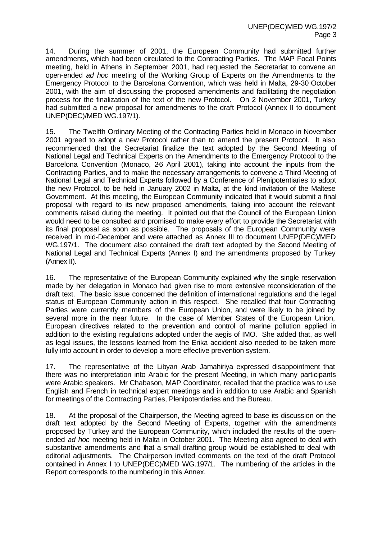14. During the summer of 2001, the European Community had submitted further amendments, which had been circulated to the Contracting Parties. The MAP Focal Points meeting, held in Athens in September 2001, had requested the Secretariat to convene an open-ended *ad hoc* meeting of the Working Group of Experts on the Amendments to the Emergency Protocol to the Barcelona Convention, which was held in Malta, 29-30 October 2001, with the aim of discussing the proposed amendments and facilitating the negotiation process for the finalization of the text of the new Protocol. On 2 November 2001, Turkey had submitted a new proposal for amendments to the draft Protocol (Annex II to document UNEP(DEC)/MED WG.197/1).

15. The Twelfth Ordinary Meeting of the Contracting Parties held in Monaco in November 2001 agreed to adopt a new Protocol rather than to amend the present Protocol. It also recommended that the Secretariat finalize the text adopted by the Second Meeting of National Legal and Technical Experts on the Amendments to the Emergency Protocol to the Barcelona Convention (Monaco, 26 April 2001), taking into account the inputs from the Contracting Parties, and to make the necessary arrangements to convene a Third Meeting of National Legal and Technical Experts followed by a Conference of Plenipotentiaries to adopt the new Protocol, to be held in January 2002 in Malta, at the kind invitation of the Maltese Government. At this meeting, the European Community indicated that it would submit a final proposal with regard to its new proposed amendments, taking into account the relevant comments raised during the meeting. It pointed out that the Council of the European Union would need to be consulted and promised to make every effort to provide the Secretariat with its final proposal as soon as possible. The proposals of the European Community were received in mid-December and were attached as Annex III to document UNEP(DEC)/MED WG.197/1. The document also contained the draft text adopted by the Second Meeting of National Legal and Technical Experts (Annex I) and the amendments proposed by Turkey (Annex II).

16. The representative of the European Community explained why the single reservation made by her delegation in Monaco had given rise to more extensive reconsideration of the draft text. The basic issue concerned the definition of international regulations and the legal status of European Community action in this respect. She recalled that four Contracting Parties were currently members of the European Union, and were likely to be joined by several more in the near future. In the case of Member States of the European Union, European directives related to the prevention and control of marine pollution applied in addition to the existing regulations adopted under the aegis of IMO. She added that, as well as legal issues, the lessons learned from the Erika accident also needed to be taken more fully into account in order to develop a more effective prevention system.

17. The representative of the Libyan Arab Jamahiriya expressed disappointment that there was no interpretation into Arabic for the present Meeting, in which many participants were Arabic speakers. Mr Chabason, MAP Coordinator, recalled that the practice was to use English and French in technical expert meetings and in addition to use Arabic and Spanish for meetings of the Contracting Parties, Plenipotentiaries and the Bureau.

18. At the proposal of the Chairperson, the Meeting agreed to base its discussion on the draft text adopted by the Second Meeting of Experts, together with the amendments proposed by Turkey and the European Community, which included the results of the openended *ad hoc* meeting held in Malta in October 2001. The Meeting also agreed to deal with substantive amendments and that a small drafting group would be established to deal with editorial adjustments. The Chairperson invited comments on the text of the draft Protocol contained in Annex I to UNEP(DEC)/MED WG.197/1. The numbering of the articles in the Report corresponds to the numbering in this Annex.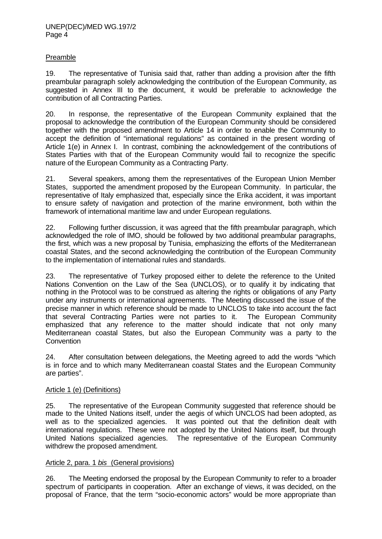#### Preamble

19. The representative of Tunisia said that, rather than adding a provision after the fifth preambular paragraph solely acknowledging the contribution of the European Community, as suggested in Annex III to the document, it would be preferable to acknowledge the contribution of all Contracting Parties.

20. In response, the representative of the European Community explained that the proposal to acknowledge the contribution of the European Community should be considered together with the proposed amendment to Article 14 in order to enable the Community to accept the definition of "international regulations" as contained in the present wording of Article 1(e) in Annex I. In contrast, combining the acknowledgement of the contributions of States Parties with that of the European Community would fail to recognize the specific nature of the European Community as a Contracting Party.

21. Several speakers, among them the representatives of the European Union Member States, supported the amendment proposed by the European Community. In particular, the representative of Italy emphasized that, especially since the Erika accident, it was important to ensure safety of navigation and protection of the marine environment, both within the framework of international maritime law and under European regulations.

22. Following further discussion, it was agreed that the fifth preambular paragraph, which acknowledged the role of IMO, should be followed by two additional preambular paragraphs, the first, which was a new proposal by Tunisia, emphasizing the efforts of the Mediterranean coastal States, and the second acknowledging the contribution of the European Community to the implementation of international rules and standards.

23. The representative of Turkey proposed either to delete the reference to the United Nations Convention on the Law of the Sea (UNCLOS), or to qualify it by indicating that nothing in the Protocol was to be construed as altering the rights or obligations of any Party under any instruments or international agreements. The Meeting discussed the issue of the precise manner in which reference should be made to UNCLOS to take into account the fact that several Contracting Parties were not parties to it. The European Community emphasized that any reference to the matter should indicate that not only many Mediterranean coastal States, but also the European Community was a party to the **Convention** 

24. After consultation between delegations, the Meeting agreed to add the words "which is in force and to which many Mediterranean coastal States and the European Community are parties".

#### Article 1 (e) (Definitions)

25. The representative of the European Community suggested that reference should be made to the United Nations itself, under the aegis of which UNCLOS had been adopted, as well as to the specialized agencies. It was pointed out that the definition dealt with international regulations. These were not adopted by the United Nations itself, but through United Nations specialized agencies. The representative of the European Community withdrew the proposed amendment.

#### Article 2, para. 1 *bis* (General provisions)

26. The Meeting endorsed the proposal by the European Community to refer to a broader spectrum of participants in cooperation. After an exchange of views, it was decided, on the proposal of France, that the term "socio-economic actors" would be more appropriate than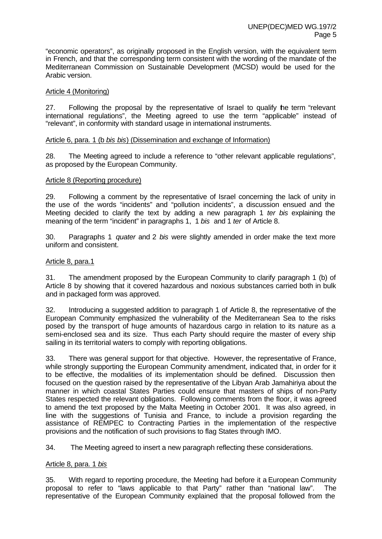"economic operators", as originally proposed in the English version, with the equivalent term in French, and that the corresponding term consistent with the wording of the mandate of the Mediterranean Commission on Sustainable Development (MCSD) would be used for the Arabic version.

#### Article 4 (Monitoring)

27. Following the proposal by the representative of Israel to qualify the term "relevant international regulations", the Meeting agreed to use the term "applicable" instead of "relevant", in conformity with standard usage in international instruments.

#### Article 6, para. 1 (b *bis bis*) (Dissemination and exchange of Information)

28. The Meeting agreed to include a reference to "other relevant applicable regulations", as proposed by the European Community.

#### Article 8 (Reporting procedure)

29. Following a comment by the representative of Israel concerning the lack of unity in the use of the words "incidents" and "pollution incidents", a discussion ensued and the Meeting decided to clarify the text by adding a new paragraph 1 *ter bis* explaining the meaning of the term "incident" in paragraphs 1, 1 *bis* and 1 *ter* of Article 8.

30. Paragraphs 1 *quater* and 2 *bis* were slightly amended in order make the text more uniform and consistent.

#### Article 8, para.1

31. The amendment proposed by the European Community to clarify paragraph 1 (b) of Article 8 by showing that it covered hazardous and noxious substances carried both in bulk and in packaged form was approved.

32. Introducing a suggested addition to paragraph 1 of Article 8, the representative of the European Community emphasized the vulnerability of the Mediterranean Sea to the risks posed by the transport of huge amounts of hazardous cargo in relation to its nature as a semi-enclosed sea and its size. Thus each Party should require the master of every ship sailing in its territorial waters to comply with reporting obligations.

33. There was general support for that objective. However, the representative of France, while strongly supporting the European Community amendment, indicated that, in order for it to be effective, the modalities of its implementation should be defined. Discussion then focused on the question raised by the representative of the Libyan Arab Jamahiriya about the manner in which coastal States Parties could ensure that masters of ships of non-Party States respected the relevant obligations. Following comments from the floor, it was agreed to amend the text proposed by the Malta Meeting in October 2001. It was also agreed, in line with the suggestions of Tunisia and France, to include a provision regarding the assistance of REMPEC to Contracting Parties in the implementation of the respective provisions and the notification of such provisions to flag States through IMO.

34. The Meeting agreed to insert a new paragraph reflecting these considerations.

#### Article 8, para. 1 *bis*

35. With regard to reporting procedure, the Meeting had before it a European Community proposal to refer to "laws applicable to that Party" rather than "national law". The representative of the European Community explained that the proposal followed from the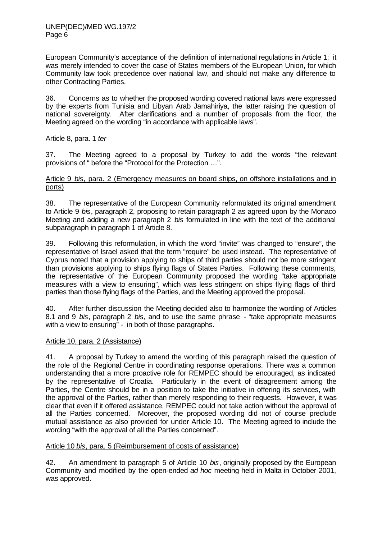European Community's acceptance of the definition of international regulations in Article 1; it was merely intended to cover the case of States members of the European Union, for which Community law took precedence over national law, and should not make any difference to other Contracting Parties.

36. Concerns as to whether the proposed wording covered national laws were expressed by the experts from Tunisia and Libyan Arab Jamahiriya, the latter raising the question of national sovereignty. After clarifications and a number of proposals from the floor, the Meeting agreed on the wording "in accordance with applicable laws".

#### Article 8, para. 1 *ter*

37. The Meeting agreed to a proposal by Turkey to add the words "the relevant provisions of " before the "Protocol for the Protection …".

#### Article 9 *bis*, para. 2 (Emergency measures on board ships, on offshore installations and in ports)

38. The representative of the European Community reformulated its original amendment to Article 9 *bis*, paragraph 2, proposing to retain paragraph 2 as agreed upon by the Monaco Meeting and adding a new paragraph 2 *bis* formulated in line with the text of the additional subparagraph in paragraph 1 of Article 8.

39. Following this reformulation, in which the word "invite" was changed to "ensure", the representative of Israel asked that the term "require" be used instead. The representative of Cyprus noted that a provision applying to ships of third parties should not be more stringent than provisions applying to ships flying flags of States Parties. Following these comments, the representative of the European Community proposed the wording "take appropriate measures with a view to ensuring", which was less stringent on ships flying flags of third parties than those flying flags of the Parties, and the Meeting approved the proposal.

40. After further discussion the Meeting decided also to harmonize the wording of Articles 8.1 and 9 *bis*, paragraph 2 *bis*, and to use the same phrase - "take appropriate measures with a view to ensuring" - in both of those paragraphs.

#### Article 10, para. 2 (Assistance)

41. A proposal by Turkey to amend the wording of this paragraph raised the question of the role of the Regional Centre in coordinating response operations. There was a common understanding that a more proactive role for REMPEC should be encouraged, as indicated by the representative of Croatia. Particularly in the event of disagreement among the Parties, the Centre should be in a position to take the initiative in offering its services, with the approval of the Parties, rather than merely responding to their requests. However, it was clear that even if it offered assistance, REMPEC could not take action without the approval of all the Parties concerned. Moreover, the proposed wording did not of course preclude mutual assistance as also provided for under Article 10. The Meeting agreed to include the wording "with the approval of all the Parties concerned".

#### Article 10 *bis*, para. 5 (Reimbursement of costs of assistance)

42. An amendment to paragraph 5 of Article 10 *bis*, originally proposed by the European Community and modified by the open-ended *ad hoc* meeting held in Malta in October 2001, was approved.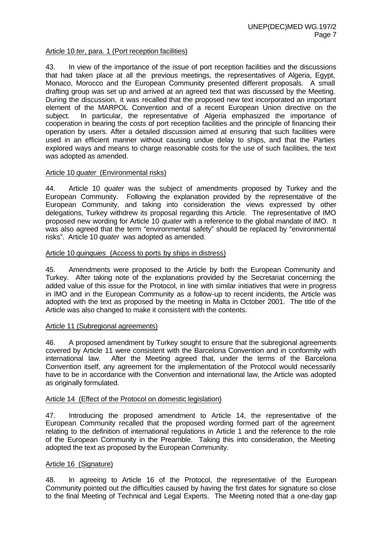#### Article 10 *ter*, para. 1 (Port reception facilities)

43. In view of the importance of the issue of port reception facilities and the discussions that had taken place at all the previous meetings, the representatives of Algeria, Egypt, Monaco, Morocco and the European Community presented different proposals. A small drafting group was set up and arrived at an agreed text that was discussed by the Meeting. During the discussion, it was recalled that the proposed new text incorporated an important element of the MARPOL Convention and of a recent European Union directive on the subject. In particular, the representative of Algeria emphasized the importance of cooperation in bearing the costs of port reception facilities and the principle of financing their operation by users. After a detailed discussion aimed at ensuring that such facilities were used in an efficient manner without causing undue delay to ships, and that the Parties explored ways and means to charge reasonable costs for the use of such facilities, the text was adopted as amended.

#### Article 10 *quater* (Environmental risks)

44. Article 10 *quater* was the subject of amendments proposed by Turkey and the European Community. Following the explanation provided by the representative of the European Community, and taking into consideration the views expressed by other delegations, Turkey withdrew its proposal regarding this Article. The representative of IMO proposed new wording for Article 10 *quater* with a reference to the global mandate of IMO. It was also agreed that the term "environmental safety" should be replaced by "environmental risks". Article 10 *quater* was adopted as amended.

#### Article 10 *quinquies* (Access to ports by ships in distress)

45. Amendments were proposed to the Article by both the European Community and Turkey. After taking note of the explanations provided by the Secretariat concerning the added value of this issue for the Protocol, in line with similar initiatives that were in progress in IMO and in the European Community as a follow-up to recent incidents, the Article was adopted with the text as proposed by the meeting in Malta in October 2001. The title of the Article was also changed to make it consistent with the contents.

#### Article 11 (Subregional agreements)

46. A proposed amendment by Turkey sought to ensure that the subregional agreements covered by Article 11 were consistent with the Barcelona Convention and in conformity with international law. After the Meeting agreed that, under the terms of the Barcelona Convention itself, any agreement for the implementation of the Protocol would necessarily have to be in accordance with the Convention and international law, the Article was adopted as originally formulated.

#### Article 14 (Effect of the Protocol on domestic legislation)

47. Introducing the proposed amendment to Article 14, the representative of the European Community recalled that the proposed wording formed part of the agreement relating to the definition of international regulations in Article 1 and the reference to the role of the European Community in the Preamble. Taking this into consideration, the Meeting adopted the text as proposed by the European Community.

#### Article 16 (Signature)

48. In agreeing to Article 16 of the Protocol, the representative of the European Community pointed out the difficulties caused by having the first dates for signature so close to the final Meeting of Technical and Legal Experts. The Meeting noted that a one-day gap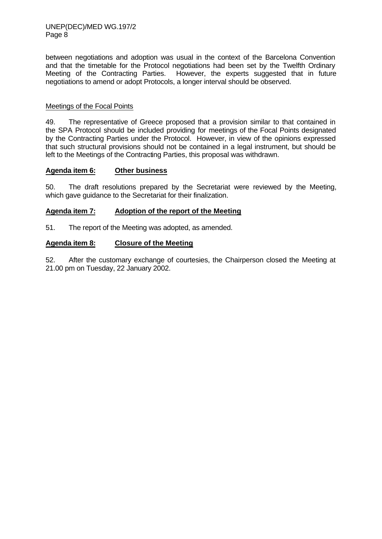between negotiations and adoption was usual in the context of the Barcelona Convention and that the timetable for the Protocol negotiations had been set by the Twelfth Ordinary Meeting of the Contracting Parties. However, the experts suggested that in future negotiations to amend or adopt Protocols, a longer interval should be observed.

#### Meetings of the Focal Points

49. The representative of Greece proposed that a provision similar to that contained in the SPA Protocol should be included providing for meetings of the Focal Points designated by the Contracting Parties under the Protocol. However, in view of the opinions expressed that such structural provisions should not be contained in a legal instrument, but should be left to the Meetings of the Contracting Parties, this proposal was withdrawn.

#### **Agenda item 6: Other business**

50. The draft resolutions prepared by the Secretariat were reviewed by the Meeting, which gave guidance to the Secretariat for their finalization.

#### **Agenda item 7: Adoption of the report of the Meeting**

51. The report of the Meeting was adopted, as amended.

#### **Agenda item 8: Closure of the Meeting**

52. After the customary exchange of courtesies, the Chairperson closed the Meeting at 21.00 pm on Tuesday, 22 January 2002.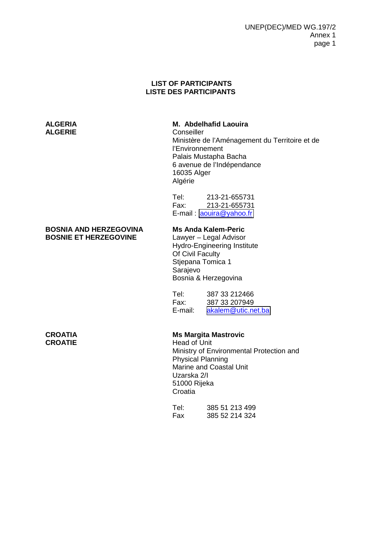#### UNEP(DEC)/MED WG.197/2 Annex 1 page 1

### **LIST OF PARTICIPANTS LISTE DES PARTICIPANTS**

# **ALGERIA** M. Abdelhafid Laouira<br> **ALGERIE** Conseiller

**ALGERIE** Conseiller Ministère de l'Aménagement du Territoire et de l'Environnement Palais Mustapha Bacha 6 avenue de l'Indépendance 16035 Alger Algérie

 Tel: 213-21-655731 Fax: 213-21-655731 E-mail : [laouira@yahoo.fr](mailto:laouira@yahoo.fr)

### **BOSNIA AND HERZEGOVINA Ms Anda Kalem-Peric**

**BOSNIE ET HERZEGOVINE** Lawyer – Legal Advisor Hydro-Engineering Institute Of Civil Faculty Stiepana Tomica 1 Sarajevo Bosnia & Herzegovina

> Tel: 387 33 212466 Fax: 387 33 207949 E-mail: [akalem@utic.net.ba](mailto:akalem@utic.net.ba)

# **CROATIA Ms Margita Mastrovic**<br> **CROATIE Margita Mastrovic**<br> **CROATIE Margita Mastrovic**

**Head of Unit**  Ministry of Environmental Protection and Physical Planning Marine and Coastal Unit Uzarska 2/I 51000 Rijeka **Croatia** 

 Tel: 385 51 213 499 Fax 385 52 214 324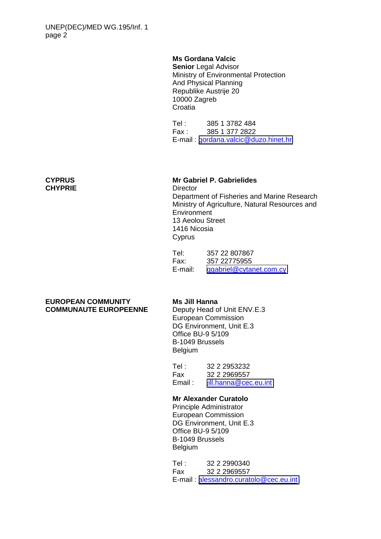### **Ms Gordana Valcic**

 **Senior** Legal Advisor Ministry of Environmental Protection And Physical Planning Republike Austrije 20 10000 Zagreb **Croatia** 

 Tel : 385 1 3782 484 Fax : 385 1 377 2822 E-mail : [gordana.valcic@duzo.hinet.hr](mailto:gordana.valcic@duzo.hinet.hr)

## **CYPRUS Mr Gabriel P. Gabrielides**

**CHYPRIE** Director Department of Fisheries and Marine Research Ministry of Agriculture, Natural Resources and **Environment**  13 Aeolou Street 1416 Nicosia **Cyprus** 

> Tel: 357 22 807867 Fax: 357 22775955 E-mail: [ggabriel@cytanet.com.cy](mailto:ggabriel@cytanet.com.cy)

#### **EUROPEAN COMMUNITY Ms Jill Hanna COMMUNAUTE EUROPEENNE** Deputy Head of Unit ENV.E.3

 European Commission DG Environment, Unit E.3 Office BU-9 5/109 B-1049 Brussels **Belgium** 

 Tel : 32 2 2953232 32 2 2 9 6 9 5 5 7 Email: iill.hanna@cec.eu.int

#### **Mr Alexander Curatolo**

 Principle Administrator European Commission DG Environment, Unit E.3 Office BU-9 5/109 B-1049 Brussels **Belgium** 

Tel: 32 2 2 2 3 2 3 4 0 Fax 32 2 2969557 E-mail : [alessandro.curatolo@cec.eu.int](mailto:alessandro.curatolo@cec.eu.int)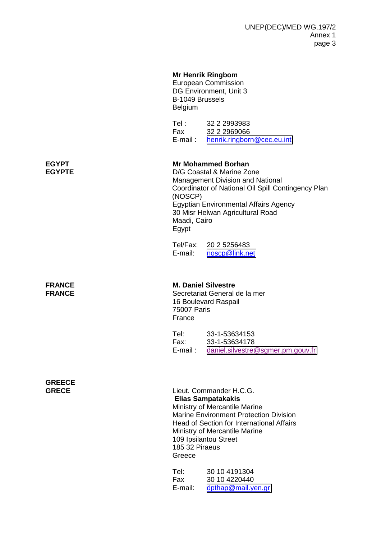### **Mr Henrik Ringbom**

European Commission DG Environment, Unit 3 B-1049 Brussels Belgium

**D/G Coastal & Marine Zone** 

(NOSCP)

Egypt

Maadi, Cairo

Management Division and National

 Egyptian Environmental Affairs Agency 30 Misr Helwan Agricultural Road

Coordinator of National Oil Spill Contingency Plan

Tel: 32 2 2993983 Fax 32 2 2969066 [henrik.ringborn@cec.eu.int](mailto:henrik.ringborn@cec.eu.int)

# **EGYPT** Mr Mohammed Borhan **EGYPTE Mr Mohammed Borhan**

 Tel/Fax: 20 2 5256483 E-mail: [noscp@link.net](mailto:noscp@link.net)

#### **FRANCE** M. Daniel Silvestre

**FRANCE** Secretariat General de la mer 16 Boulevard Raspail 75007 Paris France

> Tel: 33-1-53634153 Fax: 33-1-53634178 E-mail : [daniel.silvestre@sgmer.pm.gouv.fr](mailto:daniel.silvesre@sgmer.pm.gouv.fr)

Lieut. Commander H.C.G.  **Elias Sampatakakis**  Ministry of Mercantile Marine Marine Environment Protection Division Head of Section for International Affairs Ministry of Mercantile Marine 109 Ipsilantou Street 185 32 Piraeus **Greece** 

 Tel: 30 10 4191304 Fax 30 10 4220440 E-mail: [dpthap@mail.yen.gr](mailto:dpthap@mail.yen.gr)

**GREECE**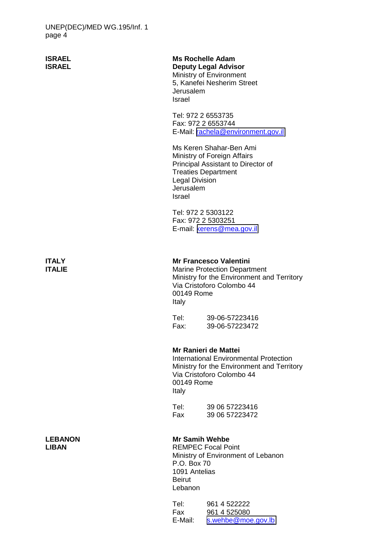UNEP(DEC)/MED WG.195/Inf. 1 page 4

#### **ISRAEL Ms Rochelle Adam 18RAEL 1988**<br> **ISRAEL 1988**<br> **ISRAEL 1989 Deputy Legal Advisor**

 Ministry of Environment 5, Kanefei Nesherim Street Jerusalem Israel

 Tel: 972 2 6553735 Fax: 972 2 6553744 E-Mail: [rachela@environment.gov.il](mailto:rachela@environment.gov.il)

 Ms Keren Shahar-Ben Ami Ministry of Foreign Affairs Principal Assistant to Director of Treaties Department Legal Division Jerusalem **Israel Communication Communication Communication** 

> Tel: 972 2 5303122 Fax: 972 2 5303251 E-mail: [kerens@mea.gov.il](mailto:kerens@mea.gov.il)

#### **ITALY Mr Francesco Valentini**

**ITALIE ITALIE ITALIE Marine Protection Department**  Ministry for the Environment and Territory Via Cristoforo Colombo 44 00149 Rome ing the contract of the contract of the state of the contract of the contract of the contract of the contract o

> Tel: 39-06-57223416 Fax: 39-06-57223472

#### **Mr Ranieri de Mattei**

International Environmental Protection Ministry for the Environment and Territory Via Cristoforo Colombo 44 00149 Rome ing the contract of the contract of the contract of the contract of the contract of the contract of the contra

> Tel: 39 06 57223416 Fax 39 06 57223472

### **LEBANON Mr Samih Wehbe**

**LIBAN REMPEC Focal Point**  Ministry of Environment of Lebanon P.O. Box 70 1091 Antelias Beirut Lebanon

> Tel: 961 4 522222 Fax 961 4 525080 E-Mail: [s.wehbe@moe.gov.lb](mailto:s.wehbe@moe.gov.lb)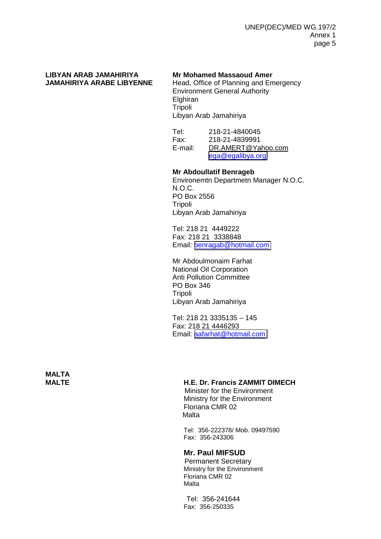### **LIBYAN ARAB JAMAHIRIYA Mr Mohamed Massaoud Amer**

**JAMAHIRIYA ARABE LIBYENNE** Head, Office of Planning and Emergency Environment General Authority **Elghiran Tripoli** Libyan Arab Jamahiriya

> Tel: 218-21-4840045<br>Fax: 218-21-4839991 Fax: 218-21-4839991 E-mail: DR.AMERT@Yahoo.com [ega@egalibya.org](mailto:ega@egalibya.org)

#### **Mr Abdoullatif Benrageb**

 Environemtn Departmetn Manager N.O.C. N.O.C. PO Box 2556 **Tripoli** Libyan Arab Jamahiriya

 Tel: 218 21 4449222 Fax: 218 21 3338848 Email: [benragab@hotmail.com](mailto:benragab@hotmail.com)

 Mr Abdoulmonaim Farhat National Oil Corporation Anti Pollution Committee PO Box 346 **Tripoli** Libyan Arab Jamahiriya

 Tel: 218 21 3335135 – 145 Fax: 218 21 4446293 Email: [aafarhat@hotmail.com](mailto:aafarhat@hotmail.com)

**MALTA** 

### **H.E. Dr. Francis ZAMMIT DIMECH**

 Minister for the Environment Ministry for the Environment Floriana CMR 02 Malta

Tel: 356-222378/ Mob. 09497590 Fax: 356-243306

### **Mr. Paul MIFSUD**

 Permanent Secretary Ministry for the Environment Floriana CMR 02 Malta

 Tel: 356-241644 Fax: 356-250335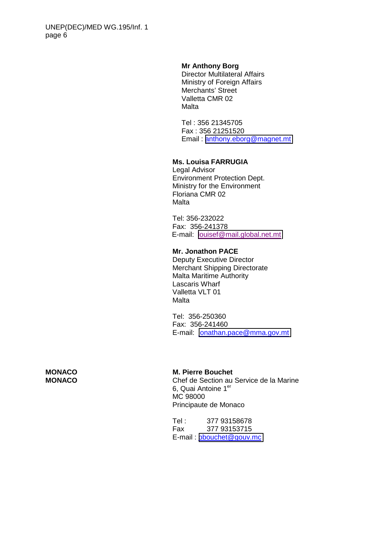UNEP(DEC)/MED WG.195/Inf. 1 page 6

#### **Mr Anthony Borg**

Director Multilateral Affairs Ministry of Foreign Affairs Merchants' Street Valletta CMR 02 Malta

Tel : 356 21345705 Fax : 356 21251520 Email : [anthony.eborg@magnet.mt](mailto:anthony.eborg@magnet.mt)

### **Ms. Louisa FARRUGIA**

Legal Advisor Environment Protection Dept. Ministry for the Environment Floriana CMR 02 **Malta** 

Tel: 356-232022 Fax: 356-241378 E-mail: [louisef@mail.global.net.mt](mailto:louisef@mail.global.net.mt)

#### **Mr. Jonathon PACE**

Deputy Executive Director Merchant Shipping Directorate Malta Maritime Authority Lascaris Wharf Valletta VLT 01 Malta

Tel: 356-250360 Fax: 356-241460 E-mail: [jonathan.pace@mma.gov.mt](mailto:jonathan.pace@mma.gov.mt)

**MONACO M. Pierre Bouchet** 

**MONACO** Chef de Section au Service de la Marine 6, Quai Antoine 1<sup>er</sup> MC 98000 Principaute de Monaco

> Tel: 377 93158678 Fax 377 93153715 E-mail : [pbouchet@gouv.mc](mailto:pbouchet@gouv.mc)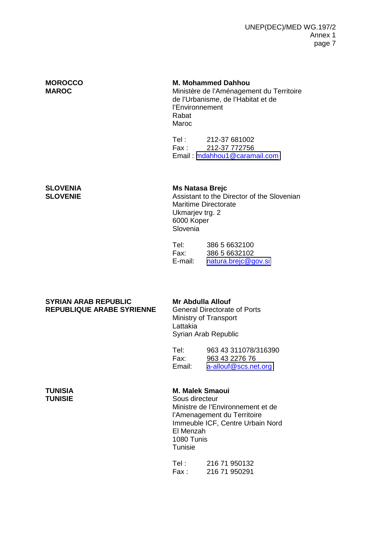| <b>M. Mohammed Dahhou</b><br>Ministère de l'Aménagement du Territoire<br>de l'Urbanisme, de l'Habitat et de<br>l'Environnement<br>Rabat<br>Maroc |                                                                          |  |
|--------------------------------------------------------------------------------------------------------------------------------------------------|--------------------------------------------------------------------------|--|
|                                                                                                                                                  | Tel: 212-37 681002<br>Fax: 212-37 772756<br>Email: mdahhou1@caramail.com |  |
| <b>Ms Natasa Brejc</b><br>Assistant to the Director of the Slovenian<br>Maritime Directorate<br>Ukmarjev trg. 2<br>6000 Koper<br>Slovenia        |                                                                          |  |
|                                                                                                                                                  | Tel: 386 5 6632100<br>Fax: 386 5 6632102<br>natura.brejc@gov.si          |  |
|                                                                                                                                                  | E-mail:                                                                  |  |

#### **SYRIAN ARAB REPUBLIC Mr Abdulla Allouf REPUBLIQUE ARABE SYRIENNE** General Directorate of Ports

 Ministry of Transport **Lattakia** Syrian Arab Republic

 Tel: 963 43 311078/316390 Fax: 963 43 2276 76 Email: [a-allouf@scs.net.org](mailto:a-allouf@scs.net.org)

# **TUNISIA M. Malek Smaoui**<br> **TUNISIE** Sous directeur

Sous directeur Ministre de l'Environnement et de l'Amenagement du Territoire Immeuble ICF, Centre Urbain Nord El Menzah 1080 Tunis Tunisie

 Tel : 216 71 950132 Fax : 216 71 950291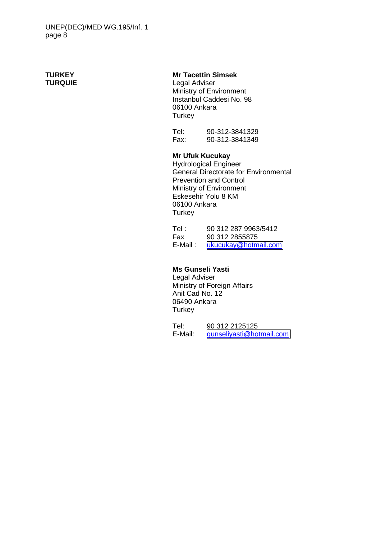### **TURKEY** Mr Tacettin Simsek

**TURQUIE Legal Adviser**  Ministry of Environment Instanbul Caddesi No. 98 06100 Ankara **Turkey** 

> Tel: 90-312-3841329<br>Fax: 90-312-3841349 90-312-3841349

#### **Mr Ufuk Kucukay**

Hydrological Engineer General Directorate for Environmental Prevention and Control Ministry of Environment Eskesehir Yolu 8 KM 06100 Ankara **Turkey** 

 Tel : 90 312 287 9963/5412 Fax 90 312 2855875<br>E-Mail: ukucukay@hotm [ukucukay@hotmail.com](mailto:ukucukay@hotmail.com)

### **Ms Gunseli Yasti**

 Legal Adviser Ministry of Foreign Affairs Anit Cad No. 12 06490 Ankara **Turkey** 

Tel: 90 312 2125125<br>
E-Mail: qunselivasti@hot E-Mail: [gunseliyasti@hotmail.com](mailto:gunseliyasti@hotmail.com)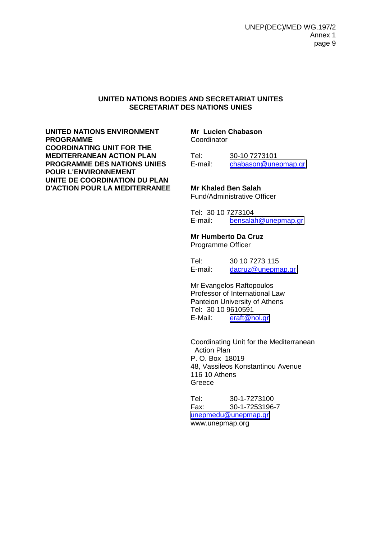#### **UNITED NATIONS BODIES AND SECRETARIAT UNITES SECRETARIAT DES NATIONS UNIES**

**UNITED NATIONS ENVIRONMENT Mr Lucien Chabason PROGRAMME** Coordinator **COORDINATING UNIT FOR THE MEDITERRANEAN ACTION PLAN** Tel: 30-10 7273101 **PROGRAMME DES NATIONS UNIES** E-mail: [chabason@unepmap.gr](mailto:chabason@unepmap.gr) **POUR L'ENVIRONNEMENT UNITE DE COORDINATION DU PLAN D'ACTION POUR LA MEDITERRANEE Mr Khaled Ben Salah** 

Fund/Administrative Officer

 Tel: 30 10 7273104 E-mail: [bensalah@unepmap.gr](mailto:bensalah@unepmap.gr)

# **Mr Humberto Da Cruz**

Programme Officer

 Tel: 30 10 7273 115 E-mail: [dacruz@unepmap.gr](mailto:dacruz@unepmap.gr)

 Mr Evangelos Raftopoulos Professor of International Law Panteion University of Athens Tel: 30 10 9610591 E-Mail: [eraft@hol.gr](mailto:eraft@hol.gr)

 Coordinating Unit for the Mediterranean Action Plan P. O. Box 18019 48, Vassileos Konstantinou Avenue 116 10 Athens **Greece** 

 Tel: 30-1-7273100 Fax: 30-1-7253196-7 [unepmedu@unepmap.gr](mailto:unepmedu@unepmap.gr) www.unepmap.org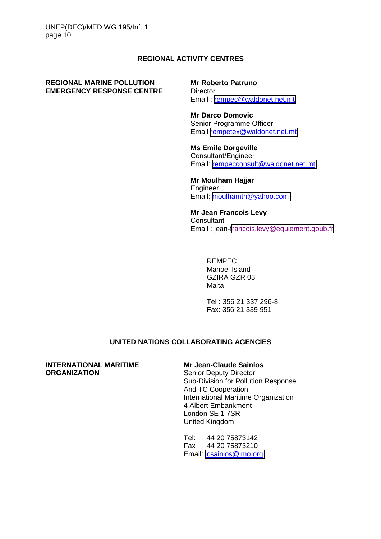### **REGIONAL ACTIVITY CENTRES**

#### **REGIONAL MARINE POLLUTION Mr Roberto Patruno EMERGENCY RESPONSE CENTRE** Director

Email : [rempec@waldonet.net.mt](mailto:rempec@waldonet.net.mt)

**Mr Darco Domovic**  Senior Programme Officer Email [rempetex@waldonet.net.mt](mailto:rempetex@waldonet.net.mt)

**Ms Emile Dorgeville**  Consultant/Engineer Email: [rempecconsult@waldonet.net.mt](mailto:rempecconsult@waldonet.net.mt)

**Mr Moulham Hajjar Engineer** Email: [moulhamth@yahoo.com](mailto:moulhamth@yahoo.com)

**Mr Jean Francois Levy Consultant** Email : jean-[francois.levy@equiement.goub.fr](mailto:rancois.levy@equiement.goub.fr)

 REMPEC Manoel Island GZIRA GZR 03 <u>Malta and Communications of the State and Communications of the State and Communications of the State and Communica</u>

> Tel : 356 21 337 296-8 Fax: 356 21 339 951

#### **UNITED NATIONS COLLABORATING AGENCIES**

#### **INTERNATIONAL MARITIME Mr Jean-Claude Sainlos ORGANIZATION** Senior Deputy Director

 Sub-Division for Pollution Response And TC Cooperation International Maritime Organization 4 Albert Embankment London SE 1 7SR United Kingdom

 Tel: 44 20 75873142 Fax 44 20 75873210 Email: [icsainlos@imo.org](mailto:icsainlos@imo.org)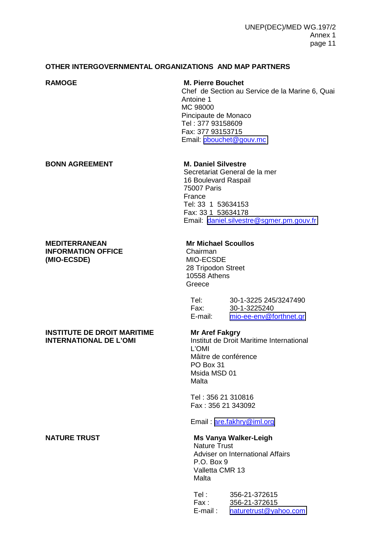### **OTHER INTERGOVERNMENTAL ORGANIZATIONS AND MAP PARTNERS**

#### **RAMOGE** M. Pierre Bouchet

Chef de Section au Service de la Marine 6, Quai Antoine 1 MC 98000 Pincipaute de Monaco Tel : 377 93158609 Fax: 377 93153715 Email: [pbouchet@gouv.mc](mailto:pbouchet@gouv.mc)

#### **BONN AGREEMENT M. Daniel Silvestre**

 Secretariat General de la mer 16 Boulevard Raspail 75007 Paris France Tel: 33 1 53634153 Fax: 33 1 53634178 Email: [daniel.silvestre@sgmer.pm.gouv.fr](mailto:daniel.silvestre@sgmer.pm.gouv.fr)

 28 Tripodon Street 10558 Athens Greece

| Tel:    | 30-1-3225 245/3247490  |
|---------|------------------------|
| Fax:    | 30-1-3225240           |
| E-mail: | mio-ee-env@forthnet.gr |

**Institut de Droit Maritime International**  L'OMI Mâitre de conférence PO Box 31 Msida MSD 01 <u>Malta and the contract of the contract of the contract of the contract of the contract of the contract of the con</u>

> Tel : 356 21 310816 Fax : 356 21 343092

Email: [are.fakhry@iml.org](mailto:are.fakhry@iml.org)

### **NATURE TRUST MS Vanya Walker-Leigh Ms Vanya Walker-Leigh**

Nature Trust Adviser on International Affairs P.O. Box 9 Valletta CMR 13 <u>Malta and the contract of the contract of the contract of the contract of the contract of the contract of the c</u>

> Tel : 356-21-372615<br>Fax : 356-21-372615 Fax : 356-21-372615 E-mail : [naturetrust@yahoo.com](mailto:naturetrust@yahoo.com)

#### **MEDITERRANEAN Mr Michael Scoullos INFORMATION OFFICE** Chairman **(MIO-ECSDE)** MIO-ECSDE

# **INSTITUTE DE DROIT MARITIME Mr Aref Fakgry<br>
<b>INTERNATIONAL DE L'OMI** Maritut de Droit I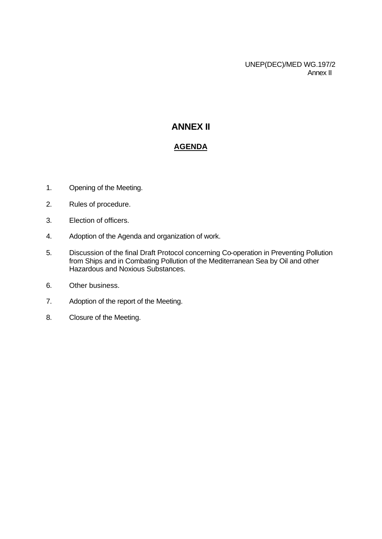UNEP(DEC)/MED WG.197/2 Annex II

# **ANNEX II**

## **AGENDA**

- 1. Opening of the Meeting.
- 2. Rules of procedure.
- 3. Election of officers.
- 4. Adoption of the Agenda and organization of work.
- 5. Discussion of the final Draft Protocol concerning Co-operation in Preventing Pollution from Ships and in Combating Pollution of the Mediterranean Sea by Oil and other Hazardous and Noxious Substances.
- 6. Other business.
- 7. Adoption of the report of the Meeting.
- 8. Closure of the Meeting.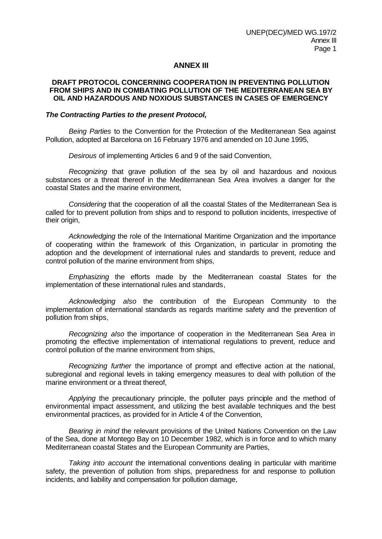#### **ANNEX III**

#### **DRAFT PROTOCOL CONCERNING COOPERATION IN PREVENTING POLLUTION FROM SHIPS AND IN COMBATING POLLUTION OF THE MEDITERRANEAN SEA BY OIL AND HAZARDOUS AND NOXIOUS SUBSTANCES IN CASES OF EMERGENCY**

#### *The Contracting Parties to the present Protocol,*

*Being Parties* to the Convention for the Protection of the Mediterranean Sea against Pollution, adopted at Barcelona on 16 February 1976 and amended on 10 June 1995,

*Desirous* of implementing Articles 6 and 9 of the said Convention,

*Recognizing* that grave pollution of the sea by oil and hazardous and noxious substances or a threat thereof in the Mediterranean Sea Area involves a danger for the coastal States and the marine environment,

*Considering* that the cooperation of all the coastal States of the Mediterranean Sea is called for to prevent pollution from ships and to respond to pollution incidents, irrespective of their origin,

*Acknowledging* the role of the International Maritime Organization and the importance of cooperating within the framework of this Organization, in particular in promoting the adoption and the development of international rules and standards to prevent, reduce and control pollution of the marine environment from ships,

*Emphasizing* the efforts made by the Mediterranean coastal States for the implementation of these international rules and standards,

*Acknowledging also* the contribution of the European Community to the implementation of international standards as regards maritime safety and the prevention of pollution from ships,

*Recognizing also* the importance of cooperation in the Mediterranean Sea Area in promoting the effective implementation of international regulations to prevent, reduce and control pollution of the marine environment from ships,

*Recognizing further* the importance of prompt and effective action at the national, subregional and regional levels in taking emergency measures to deal with pollution of the marine environment or a threat thereof,

*Applying* the precautionary principle, the polluter pays principle and the method of environmental impact assessment, and utilizing the best available techniques and the best environmental practices, as provided for in Article 4 of the Convention,

*Bearing in mind* the relevant provisions of the United Nations Convention on the Law of the Sea, done at Montego Bay on 10 December 1982, which is in force and to which many Mediterranean coastal States and the European Community are Parties,

*Taking into account* the international conventions dealing in particular with maritime safety, the prevention of pollution from ships, preparedness for and response to pollution incidents, and liability and compensation for pollution damage,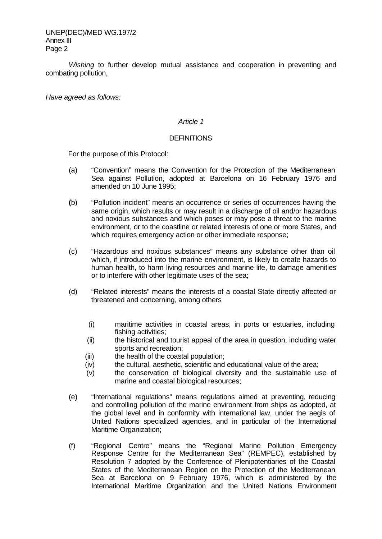UNEP(DEC)/MED WG.197/2 Annex III Page 2

*Wishing* to further develop mutual assistance and cooperation in preventing and combating pollution,

*Have agreed as follows:*

#### *Article 1*

#### **DEFINITIONS**

For the purpose of this Protocol:

- (a) "Convention" means the Convention for the Protection of the Mediterranean Sea against Pollution, adopted at Barcelona on 16 February 1976 and amended on 10 June 1995;
- **(**b) "Pollution incident" means an occurrence or series of occurrences having the same origin, which results or may result in a discharge of oil and/or hazardous and noxious substances and which poses or may pose a threat to the marine environment, or to the coastline or related interests of one or more States, and which requires emergency action or other immediate response;
- (c) "Hazardous and noxious substances" means any substance other than oil which, if introduced into the marine environment, is likely to create hazards to human health, to harm living resources and marine life, to damage amenities or to interfere with other legitimate uses of the sea;
- (d) "Related interests" means the interests of a coastal State directly affected or threatened and concerning, among others
	- (i) maritime activities in coastal areas, in ports or estuaries, including fishing activities;
	- (ii) the historical and tourist appeal of the area in question, including water sports and recreation;
	- (iii) the health of the coastal population;
	- (iv) the cultural, aesthetic, scientific and educational value of the area;
	- (v) the conservation of biological diversity and the sustainable use of marine and coastal biological resources;
- (e) "International regulations" means regulations aimed at preventing, reducing and controlling pollution of the marine environment from ships as adopted, at the global level and in conformity with international law, under the aegis of United Nations specialized agencies, and in particular of the International Maritime Organization;
- (f) "Regional Centre" means the "Regional Marine Pollution Emergency Response Centre for the Mediterranean Sea" (REMPEC), established by Resolution 7 adopted by the Conference of Plenipotentiaries of the Coastal States of the Mediterranean Region on the Protection of the Mediterranean Sea at Barcelona on 9 February 1976, which is administered by the International Maritime Organization and the United Nations Environment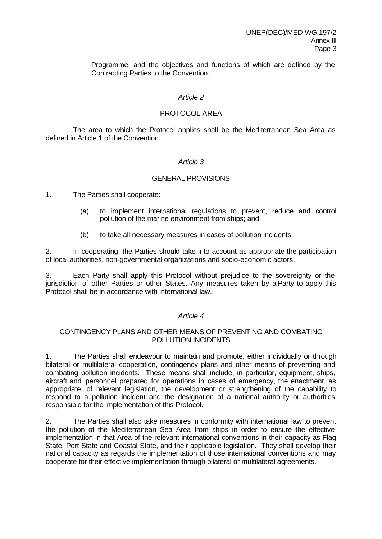Programme, and the objectives and functions of which are defined by the Contracting Parties to the Convention.

#### *Article 2*

#### PROTOCOL AREA

The area to which the Protocol applies shall be the Mediterranean Sea Area as defined in Article 1 of the Convention.

#### *Article 3*

#### GENERAL PROVISIONS

1. The Parties shall cooperate:

- (a) to implement international regulations to prevent, reduce and control pollution of the marine environment from ships; and
- (b) to take all necessary measures in cases of pollution incidents.

2. In cooperating, the Parties should take into account as appropriate the participation of local authorities, non-governmental organizations and socio-economic actors.

3. Each Party shall apply this Protocol without prejudice to the sovereignty or the jurisdiction of other Parties or other States. Any measures taken by a Party to apply this Protocol shall be in accordance with international law.

#### *Article 4*

#### CONTINGENCY PLANS AND OTHER MEANS OF PREVENTING AND COMBATING POLLUTION INCIDENTS

1. The Parties shall endeavour to maintain and promote, either individually or through bilateral or multilateral cooperation, contingency plans and other means of preventing and combating pollution incidents. These means shall include, in particular, equipment, ships, aircraft and personnel prepared for operations in cases of emergency, the enactment, as appropriate, of relevant legislation, the development or strengthening of the capability to respond to a pollution incident and the designation of a national authority or authorities responsible for the implementation of this Protocol.

2. The Parties shall also take measures in conformity with international law to prevent the pollution of the Mediterranean Sea Area from ships in order to ensure the effective implementation in that Area of the relevant international conventions in their capacity as Flag State, Port State and Coastal State, and their applicable legislation. They shall develop their national capacity as regards the implementation of those international conventions and may cooperate for their effective implementation through bilateral or multilateral agreements.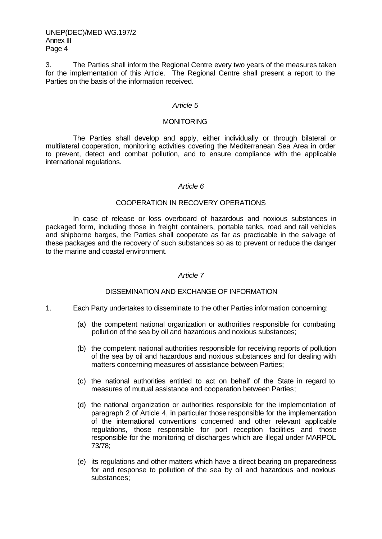3. The Parties shall inform the Regional Centre every two years of the measures taken for the implementation of this Article. The Regional Centre shall present a report to the Parties on the basis of the information received.

#### *Article 5*

#### **MONITORING**

The Parties shall develop and apply, either individually or through bilateral or multilateral cooperation, monitoring activities covering the Mediterranean Sea Area in order to prevent, detect and combat pollution, and to ensure compliance with the applicable international regulations.

#### *Article 6*

#### COOPERATION IN RECOVERY OPERATIONS

In case of release or loss overboard of hazardous and noxious substances in packaged form, including those in freight containers, portable tanks, road and rail vehicles and shipborne barges, the Parties shall cooperate as far as practicable in the salvage of these packages and the recovery of such substances so as to prevent or reduce the danger to the marine and coastal environment.

#### *Article 7*

#### DISSEMINATION AND EXCHANGE OF INFORMATION

- 1. Each Party undertakes to disseminate to the other Parties information concerning:
	- (a) the competent national organization or authorities responsible for combating pollution of the sea by oil and hazardous and noxious substances;
	- (b) the competent national authorities responsible for receiving reports of pollution of the sea by oil and hazardous and noxious substances and for dealing with matters concerning measures of assistance between Parties;
	- (c) the national authorities entitled to act on behalf of the State in regard to measures of mutual assistance and cooperation between Parties;
	- (d) the national organization or authorities responsible for the implementation of paragraph 2 of Article 4, in particular those responsible for the implementation of the international conventions concerned and other relevant applicable regulations, those responsible for port reception facilities and those responsible for the monitoring of discharges which are illegal under MARPOL 73/78;
	- (e) its regulations and other matters which have a direct bearing on preparedness for and response to pollution of the sea by oil and hazardous and noxious substances;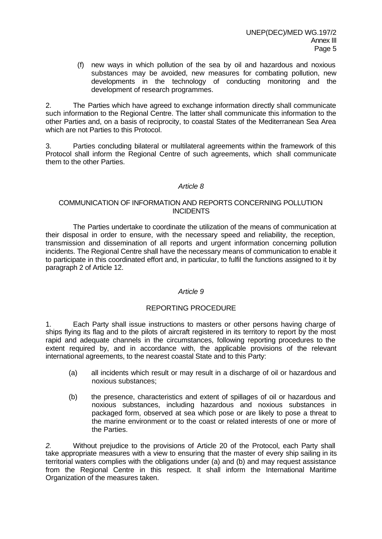(f) new ways in which pollution of the sea by oil and hazardous and noxious substances may be avoided, new measures for combating pollution, new developments in the technology of conducting monitoring and the development of research programmes.

2. The Parties which have agreed to exchange information directly shall communicate such information to the Regional Centre. The latter shall communicate this information to the other Parties and, on a basis of reciprocity, to coastal States of the Mediterranean Sea Area which are not Parties to this Protocol.

3. Parties concluding bilateral or multilateral agreements within the framework of this Protocol shall inform the Regional Centre of such agreements, which shall communicate them to the other Parties.

#### *Article 8*

#### COMMUNICATION OF INFORMATION AND REPORTS CONCERNING POLLUTION **INCIDENTS**

The Parties undertake to coordinate the utilization of the means of communication at their disposal in order to ensure, with the necessary speed and reliability, the reception, transmission and dissemination of all reports and urgent information concerning pollution incidents. The Regional Centre shall have the necessary means of communication to enable it to participate in this coordinated effort and, in particular, to fulfil the functions assigned to it by paragraph 2 of Article 12.

#### *Article 9*

### REPORTING PROCEDURE

1. Each Party shall issue instructions to masters or other persons having charge of ships flying its flag and to the pilots of aircraft registered in its territory to report by the most rapid and adequate channels in the circumstances, following reporting procedures to the extent required by, and in accordance with, the applicable provisions of the relevant international agreements, to the nearest coastal State and to this Party:

- (a) all incidents which result or may result in a discharge of oil or hazardous and noxious substances;
- (b) the presence, characteristics and extent of spillages of oil or hazardous and noxious substances, including hazardous and noxious substances in packaged form, observed at sea which pose or are likely to pose a threat to the marine environment or to the coast or related interests of one or more of the Parties.

*2.* Without prejudice to the provisions of Article 20 of the Protocol, each Party shall take appropriate measures with a view to ensuring that the master of every ship sailing in its territorial waters complies with the obligations under (a) and (b) and may request assistance from the Regional Centre in this respect. It shall inform the International Maritime Organization of the measures taken.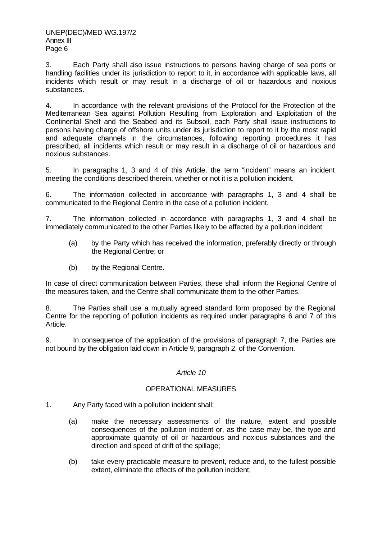3. Each Party shall also issue instructions to persons having charge of sea ports or handling facilities under its jurisdiction to report to it, in accordance with applicable laws, all incidents which result or may result in a discharge of oil or hazardous and noxious substances.

4. In accordance with the relevant provisions of the Protocol for the Protection of the Mediterranean Sea against Pollution Resulting from Exploration and Exploitation of the Continental Shelf and the Seabed and its Subsoil, each Party shall issue instructions to persons having charge of offshore units under its jurisdiction to report to it by the most rapid and adequate channels in the circumstances, following reporting procedures it has prescribed, all incidents which result or may result in a discharge of oil or hazardous and noxious substances.

5. In paragraphs 1, 3 and 4 of this Article, the term "incident" means an incident meeting the conditions described therein, whether or not it is a pollution incident.

6. The information collected in accordance with paragraphs 1, 3 and 4 shall be communicated to the Regional Centre in the case of a pollution incident.

7. The information collected in accordance with paragraphs 1, 3 and 4 shall be immediately communicated to the other Parties likely to be affected by a pollution incident:

- (a) by the Party which has received the information, preferably directly or through the Regional Centre; or
- (b) by the Regional Centre.

In case of direct communication between Parties, these shall inform the Regional Centre of the measures taken, and the Centre shall communicate them to the other Parties.

8. The Parties shall use a mutually agreed standard form proposed by the Regional Centre for the reporting of pollution incidents as required under paragraphs 6 and 7 of this Article.

9. In consequence of the application of the provisions of paragraph 7, the Parties are not bound by the obligation laid down in Article 9, paragraph 2, of the Convention.

#### *Article 10*

#### OPERATIONAL MEASURES

- 1. Any Party faced with a pollution incident shall:
	- (a) make the necessary assessments of the nature, extent and possible consequences of the pollution incident or, as the case may be, the type and approximate quantity of oil or hazardous and noxious substances and the direction and speed of drift of the spillage;
	- (b) take every practicable measure to prevent, reduce and, to the fullest possible extent, eliminate the effects of the pollution incident;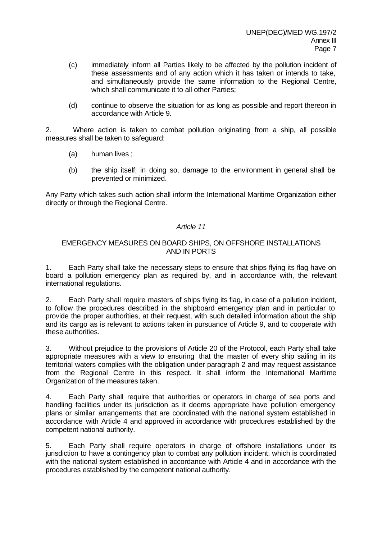- (c) immediately inform all Parties likely to be affected by the pollution incident of these assessments and of any action which it has taken or intends to take, and simultaneously provide the same information to the Regional Centre, which shall communicate it to all other Parties;
- (d) continue to observe the situation for as long as possible and report thereon in accordance with Article 9.

2. Where action is taken to combat pollution originating from a ship, all possible measures shall be taken to safeguard:

- (a) human lives ;
- (b) the ship itself; in doing so, damage to the environment in general shall be prevented or minimized.

Any Party which takes such action shall inform the International Maritime Organization either directly or through the Regional Centre.

#### *Article 11*

#### EMERGENCY MEASURES ON BOARD SHIPS, ON OFFSHORE INSTALLATIONS AND IN PORTS

1. Each Party shall take the necessary steps to ensure that ships flying its flag have on board a pollution emergency plan as required by, and in accordance with, the relevant international regulations.

2. Each Party shall require masters of ships flying its flag, in case of a pollution incident, to follow the procedures described in the shipboard emergency plan and in particular to provide the proper authorities, at their request, with such detailed information about the ship and its cargo as is relevant to actions taken in pursuance of Article 9, and to cooperate with these authorities.

3. Without prejudice to the provisions of Article 20 of the Protocol, each Party shall take appropriate measures with a view to ensuring that the master of every ship sailing in its territorial waters complies with the obligation under paragraph 2 and may request assistance from the Regional Centre in this respect. It shall inform the International Maritime Organization of the measures taken.

4. Each Party shall require that authorities or operators in charge of sea ports and handling facilities under its jurisdiction as it deems appropriate have pollution emergency plans or similar arrangements that are coordinated with the national system established in accordance with Article 4 and approved in accordance with procedures established by the competent national authority.

5. Each Party shall require operators in charge of offshore installations under its jurisdiction to have a contingency plan to combat any pollution incident, which is coordinated with the national system established in accordance with Article 4 and in accordance with the procedures established by the competent national authority.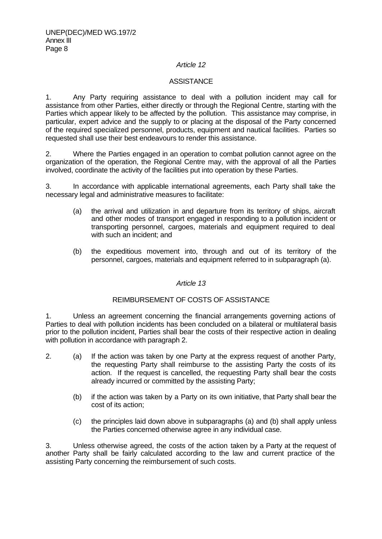#### *Article 12*

#### **ASSISTANCE**

1. Any Party requiring assistance to deal with a pollution incident may call for assistance from other Parties, either directly or through the Regional Centre, starting with the Parties which appear likely to be affected by the pollution. This assistance may comprise, in particular, expert advice and the supply to or placing at the disposal of the Party concerned of the required specialized personnel, products, equipment and nautical facilities. Parties so requested shall use their best endeavours to render this assistance.

2. Where the Parties engaged in an operation to combat pollution cannot agree on the organization of the operation, the Regional Centre may, with the approval of all the Parties involved, coordinate the activity of the facilities put into operation by these Parties.

3. In accordance with applicable international agreements, each Party shall take the necessary legal and administrative measures to facilitate:

- (a) the arrival and utilization in and departure from its territory of ships, aircraft and other modes of transport engaged in responding to a pollution incident or transporting personnel, cargoes, materials and equipment required to deal with such an incident; and
- (b) the expeditious movement into, through and out of its territory of the personnel, cargoes, materials and equipment referred to in subparagraph (a).

#### *Article 13*

#### REIMBURSEMENT OF COSTS OF ASSISTANCE

1. Unless an agreement concerning the financial arrangements governing actions of Parties to deal with pollution incidents has been concluded on a bilateral or multilateral basis prior to the pollution incident, Parties shall bear the costs of their respective action in dealing with pollution in accordance with paragraph 2.

- 2. (a) If the action was taken by one Party at the express request of another Party, the requesting Party shall reimburse to the assisting Party the costs of its action. If the request is cancelled, the requesting Party shall bear the costs already incurred or committed by the assisting Party;
	- (b) if the action was taken by a Party on its own initiative, that Party shall bear the cost of its action;
	- (c) the principles laid down above in subparagraphs (a) and (b) shall apply unless the Parties concerned otherwise agree in any individual case.

3. Unless otherwise agreed, the costs of the action taken by a Party at the request of another Party shall be fairly calculated according to the law and current practice of the assisting Party concerning the reimbursement of such costs.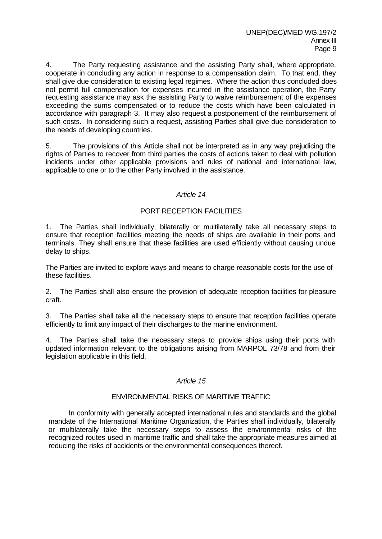4. The Party requesting assistance and the assisting Party shall, where appropriate, cooperate in concluding any action in response to a compensation claim. To that end, they shall give due consideration to existing legal regimes. Where the action thus concluded does not permit full compensation for expenses incurred in the assistance operation, the Party requesting assistance may ask the assisting Party to waive reimbursement of the expenses exceeding the sums compensated or to reduce the costs which have been calculated in accordance with paragraph 3. It may also request a postponement of the reimbursement of such costs. In considering such a request, assisting Parties shall give due consideration to the needs of developing countries.

5. The provisions of this Article shall not be interpreted as in any way prejudicing the rights of Parties to recover from third parties the costs of actions taken to deal with pollution incidents under other applicable provisions and rules of national and international law, applicable to one or to the other Party involved in the assistance.

#### *Article 14*

#### PORT RECEPTION FACILITIES

1. The Parties shall individually, bilaterally or multilaterally take all necessary steps to ensure that reception facilities meeting the needs of ships are available in their ports and terminals. They shall ensure that these facilities are used efficiently without causing undue delay to ships.

The Parties are invited to explore ways and means to charge reasonable costs for the use of these facilities.

2. The Parties shall also ensure the provision of adequate reception facilities for pleasure craft.

3. The Parties shall take all the necessary steps to ensure that reception facilities operate efficiently to limit any impact of their discharges to the marine environment.

4. The Parties shall take the necessary steps to provide ships using their ports with updated information relevant to the obligations arising from MARPOL 73/78 and from their legislation applicable in this field.

#### *Article 15*

#### ENVIRONMENTAL RISKS OF MARITIME TRAFFIC

In conformity with generally accepted international rules and standards and the global mandate of the International Maritime Organization, the Parties shall individually, bilaterally or multilaterally take the necessary steps to assess the environmental risks of the recognized routes used in maritime traffic and shall take the appropriate measures aimed at reducing the risks of accidents or the environmental consequences thereof.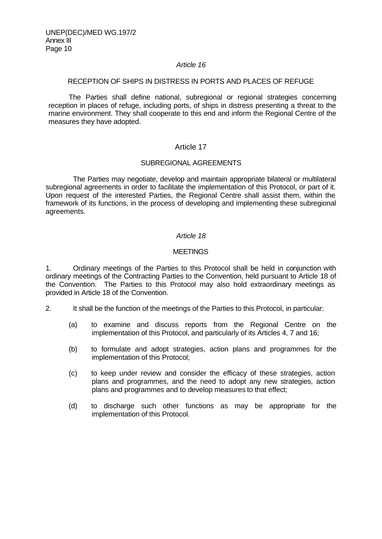#### *Article 16*

#### RECEPTION OF SHIPS IN DISTRESS IN PORTS AND PLACES OF REFUGE

The Parties shall define national, subregional or regional strategies concerning reception in places of refuge, including ports, of ships in distress presenting a threat to the marine environment. They shall cooperate to this end and inform the Regional Centre of the measures they have adopted.

#### Article 17

#### SUBREGIONAL AGREEMENTS

The Parties may negotiate, develop and maintain appropriate bilateral or multilateral subregional agreements in order to facilitate the implementation of this Protocol, or part of it. Upon request of the interested Parties, the Regional Centre shall assist them, within the framework of its functions, in the process of developing and implementing these subregional agreements.

#### *Article 18*

#### **MEETINGS**

1. Ordinary meetings of the Parties to this Protocol shall be held in conjunction with ordinary meetings of the Contracting Parties to the Convention, held pursuant to Article 18 of the Convention. The Parties to this Protocol may also hold extraordinary meetings as provided in Article 18 of the Convention.

- 2. It shall be the function of the meetings of the Parties to this Protocol, in particular:
	- (a) to examine and discuss reports from the Regional Centre on the implementation of this Protocol, and particularly of its Articles 4, 7 and 16;
	- (b) to formulate and adopt strategies, action plans and programmes for the implementation of this Protocol;
	- (c) to keep under review and consider the efficacy of these strategies, action plans and programmes, and the need to adopt any new strategies, action plans and programmes and to develop measures to that effect;
	- (d) to discharge such other functions as may be appropriate for the implementation of this Protocol.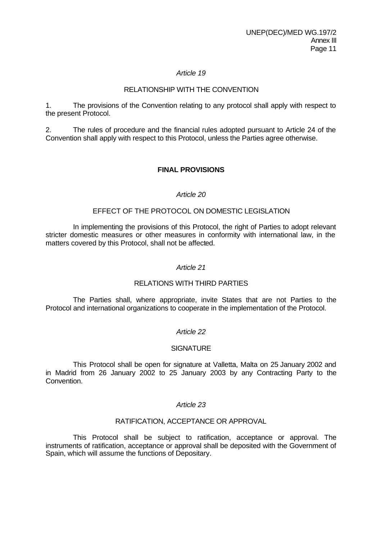#### *Article 19*

#### RELATIONSHIP WITH THE CONVENTION

1. The provisions of the Convention relating to any protocol shall apply with respect to the present Protocol.

2. The rules of procedure and the financial rules adopted pursuant to Article 24 of the Convention shall apply with respect to this Protocol, unless the Parties agree otherwise.

#### **FINAL PROVISIONS**

#### *Article 20*

#### EFFECT OF THE PROTOCOL ON DOMESTIC LEGISLATION

In implementing the provisions of this Protocol, the right of Parties to adopt relevant stricter domestic measures or other measures in conformity with international law, in the matters covered by this Protocol, shall not be affected.

#### *Article 21*

#### RELATIONS WITH THIRD PARTIES

The Parties shall, where appropriate, invite States that are not Parties to the Protocol and international organizations to cooperate in the implementation of the Protocol.

#### *Article 22*

#### **SIGNATURE**

This Protocol shall be open for signature at Valletta, Malta on 25 January 2002 and in Madrid from 26 January 2002 to 25 January 2003 by any Contracting Party to the Convention.

#### *Article 23*

#### RATIFICATION, ACCEPTANCE OR APPROVAL

This Protocol shall be subject to ratification, acceptance or approval. The instruments of ratification, acceptance or approval shall be deposited with the Government of Spain, which will assume the functions of Depositary.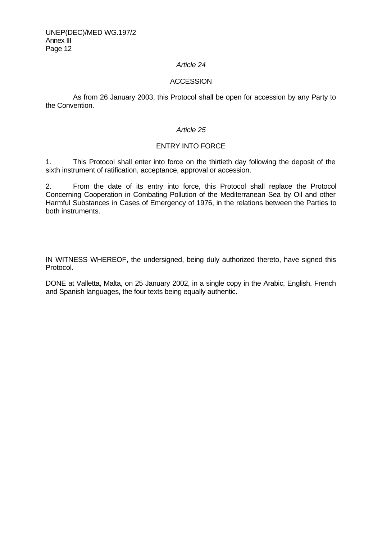UNEP(DEC)/MED WG.197/2 Annex III Page 12

#### *Article 24*

### ACCESSION

As from 26 January 2003, this Protocol shall be open for accession by any Party to the Convention.

#### *Article 25*

#### ENTRY INTO FORCE

1. This Protocol shall enter into force on the thirtieth day following the deposit of the sixth instrument of ratification, acceptance, approval or accession.

2. From the date of its entry into force, this Protocol shall replace the Protocol Concerning Cooperation in Combating Pollution of the Mediterranean Sea by Oil and other Harmful Substances in Cases of Emergency of 1976, in the relations between the Parties to both instruments.

IN WITNESS WHEREOF, the undersigned, being duly authorized thereto, have signed this Protocol.

DONE at Valletta, Malta, on 25 January 2002, in a single copy in the Arabic, English, French and Spanish languages, the four texts being equally authentic.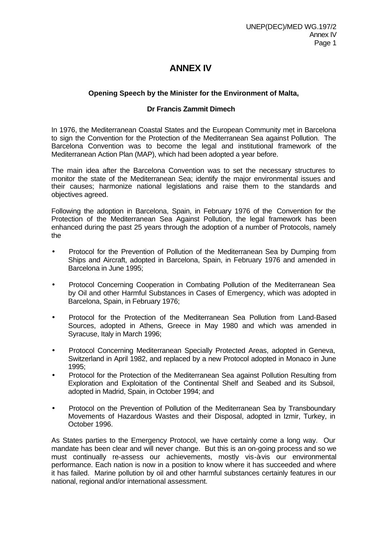# **ANNEX IV**

### **Opening Speech by the Minister for the Environment of Malta,**

### **Dr Francis Zammit Dimech**

In 1976, the Mediterranean Coastal States and the European Community met in Barcelona to sign the Convention for the Protection of the Mediterranean Sea against Pollution. The Barcelona Convention was to become the legal and institutional framework of the Mediterranean Action Plan (MAP), which had been adopted a year before.

The main idea after the Barcelona Convention was to set the necessary structures to monitor the state of the Mediterranean Sea; identify the major environmental issues and their causes; harmonize national legislations and raise them to the standards and objectives agreed.

Following the adoption in Barcelona, Spain, in February 1976 of the Convention for the Protection of the Mediterranean Sea Against Pollution, the legal framework has been enhanced during the past 25 years through the adoption of a number of Protocols, namely the

- Protocol for the Prevention of Pollution of the Mediterranean Sea by Dumping from Ships and Aircraft, adopted in Barcelona, Spain, in February 1976 and amended in Barcelona in June 1995;
- Protocol Concerning Cooperation in Combating Pollution of the Mediterranean Sea by Oil and other Harmful Substances in Cases of Emergency, which was adopted in Barcelona, Spain, in February 1976;
- Protocol for the Protection of the Mediterranean Sea Pollution from Land-Based Sources, adopted in Athens, Greece in May 1980 and which was amended in Syracuse, Italy in March 1996;
- Protocol Concerning Mediterranean Specially Protected Areas, adopted in Geneva, Switzerland in April 1982, and replaced by a new Protocol adopted in Monaco in June 1995;
- Protocol for the Protection of the Mediterranean Sea against Pollution Resulting from Exploration and Exploitation of the Continental Shelf and Seabed and its Subsoil, adopted in Madrid, Spain, in October 1994; and
- Protocol on the Prevention of Pollution of the Mediterranean Sea by Transboundary Movements of Hazardous Wastes and their Disposal, adopted in Izmir, Turkey, in October 1996.

As States parties to the Emergency Protocol, we have certainly come a long way. Our mandate has been clear and will never change. But this is an on-going process and so we must continually re-assess our achievements, mostly vis-à-vis our environmental performance. Each nation is now in a position to know where it has succeeded and where it has failed. Marine pollution by oil and other harmful substances certainly features in our national, regional and/or international assessment.